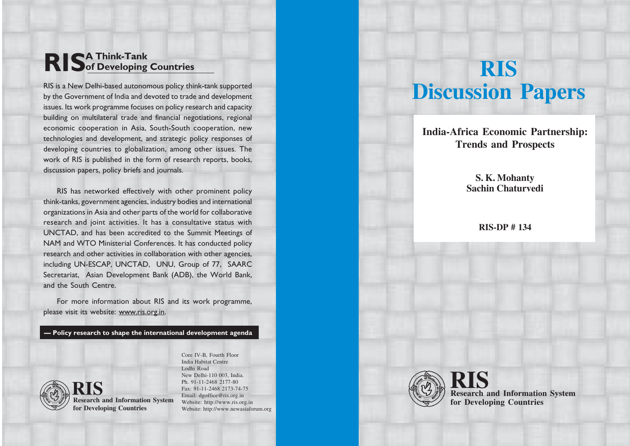# RIS of Developing of Developing Countries

RIS is a New Delhi-based autonomous policy think-tank supported by the Government of India and devoted to trade and development issues. Its work programme focuses on policy research and capacity building on multilateral trade and financial negotiations, regional economic cooperation in Asia, South-South cooperation, new technologies and development, and strategic policy responses of developing countries to globalization, among other issues. The work of RIS is published in the form of research reports, books, discussion papers, policy briefs and journals.

RIS has networked effectively with other prominent policy think-tanks, government agencies, industry bodies and international organizations in Asia and other parts of the world for collaborative research and joint activities. It has a consultative status with UNCTAD, and has been accredited to the Summit Meetings of NAM and WTO Ministerial Conferences. It has conducted policy research and other activities in collaboration with other agencies, including UN-ESCAP, UNCTAD, UNU, Group of 77, SAARC Secretariat, Asian Development Bank (ADB), the World Bank, and the South Centre.

For more information about RIS and its work programme, please visit its website: www.ris.org.in.

Policy research to shape the international development agenda



**Research and Information System for Developing Countries RIS**

India Habitat Centre Lodhi Road New Delhi-110 003, India. Ph. 91-11-2468 2177-80 Fax: 91-11-2468 2173-74-75 Email: dgoffice@ris.org.in Website: http://www.ris.org.in Website: http://www.newasiaforum.org

Core IV-B, Fourth Floor

# **RIS Discussion Papers**

**India-Africa Economic Partnership: Trends and Prospects**

> **S. K. Mohanty Sachin Chaturvedi**

> > **RIS-DP # 134**



**Research and Information System RIS for Developing Countries**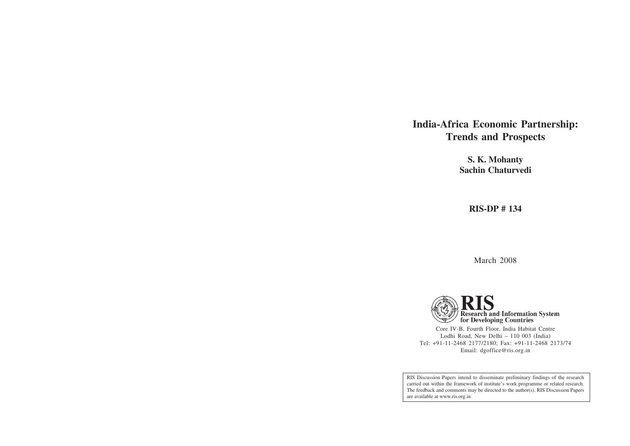# **India-Africa Economic Partnership: Trends and Prospects**

**S. K. Mohanty Sachin Chaturvedi**

**RIS-DP # 134**

March 2008



Core IV-B, Fourth Floor, India Habitat Centre Lodhi Road, New Delhi – 110 003 (India) Tel: +91-11-2468 2177/2180; Fax: +91-11-2468 2173/74 Email: dgoffice@ris.org.in

RIS Discussion Papers intend to disseminate preliminary findings of the research carried out within the framework of institute's work programme or related research. The feedback and comments may be directed to the author(s). RIS Discussion Papers are available at www.ris.org.in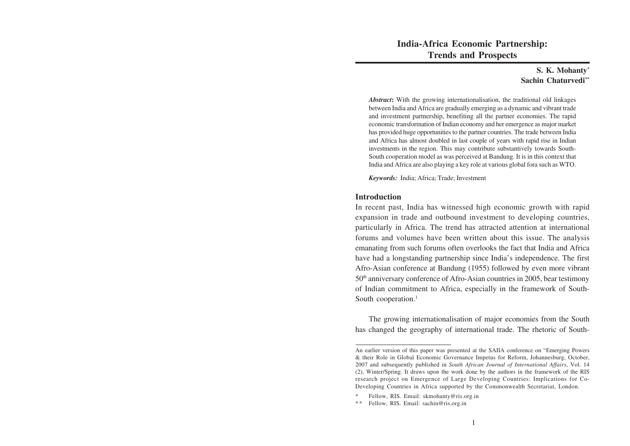**India-Africa Economic Partnership: Trends and Prospects**

# **S. K. Mohanty\* Sachin Chaturvedi\*\***

*Abstract***:** With the growing internationalisation, the traditional old linkages between India and Africa are gradually emerging as a dynamic and vibrant trade and investment partnership, benefiting all the partner economies. The rapid economic transformation of Indian economy and her emergence as major market has provided huge opportunities to the partner countries. The trade between India and Africa has almost doubled in last couple of years with rapid rise in Indian investments in the region. This may contribute substantively towards South-South cooperation model as was perceived at Bandung. It is in this context that India and Africa are also playing a key role at various global fora such as WTO.

*Keywords:* India; Africa; Trade; Investment

#### **Introduction**

In recent past, India has witnessed high economic growth with rapid expansion in trade and outbound investment to developing countries, particularly in Africa. The trend has attracted attention at international forums and volumes have been written about this issue. The analysis emanating from such forums often overlooks the fact that India and Africa have had a longstanding partnership since India's independence. The first Afro-Asian conference at Bandung (1955) followed by even more vibrant 50th anniversary conference of Afro-Asian countries in 2005, bear testimony of Indian commitment to Africa, especially in the framework of South-South cooperation.<sup>1</sup>

The growing internationalisation of major economies from the South has changed the geography of international trade. The rhetoric of South-

An earlier version of this paper was presented at the SAIIA conference on "Emerging Powers & their Role in Global Economic Governance Impetus for Reform, Johannesburg, October, 2007 and subsequently published in *South African Journal of International Affairs*, Vol. 14 (2), Winter/Spring. It draws upon the work done by the authors in the framework of the RIS research project on Emergence of Large Developing Countries: Implications for Co-Developing Countries in Africa supported by the Commonwealth Secretariat, London.

<sup>\*</sup> Fellow, RIS. Email: skmohanty@ris.org.in

<sup>\*\*</sup> Fellow, RIS. Email: sachin@ris.org.in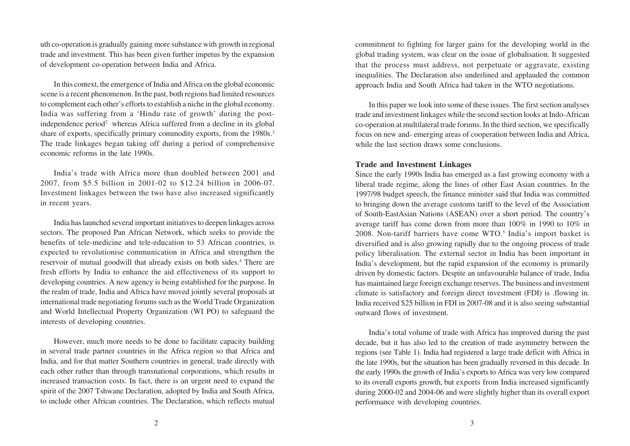uth co-operation is gradually gaining more substance with growth in regional trade and investment. This has been given further impetus by the expansion of development co-operation between India and Africa.

In this context, the emergence of India and Africa on the global economic scene is a recent phenomenon. In the past, both regions had limited resources to complement each other's efforts to establish a niche in the global economy. India was suffering from a 'Hindu rate of growth' during the postindependence period<sup>2</sup> whereas Africa suffered from a decline in its global share of exports, specifically primary commodity exports, from the 1980s.<sup>3</sup> The trade linkages began taking off during a period of comprehensive economic reforms in the late 1990s.

India's trade with Africa more than doubled between 2001 and 2007, from \$5.5 billion in 2001-02 to \$12.24 billion in 2006-07. Investment linkages between the two have also increased significantly in recent years.

India has launched several important initiatives to deepen linkages across sectors. The proposed Pan African Network, which seeks to provide the benefits of tele-medicine and tele-education to 53 African countries, is expected to revolutionise communication in Africa and strengthen the reservoir of mutual goodwill that already exists on both sides.<sup>4</sup> There are fresh efforts by India to enhance the aid effectiveness of its support to developing countries. A new agency is being established for the purpose. In the realm of trade, India and Africa have moved jointly several proposals at international trade negotiating forums such as the World Trade Organization and World Intellectual Property Organization (WI PO) to safeguard the interests of developing countries.

However, much more needs to be done to facilitate capacity building in several trade partner countries in the Africa region so that Africa and India, and for that matter Southern countries in general, trade directly with each other rather than through transnational corporations, which results in increased transaction costs. In fact, there is an urgent need to expand the spirit of the 2007 Tshwane Declaration, adopted by India and South Africa, to include other African countries. The Declaration, which reflects mutual commitment to fighting for larger gains for the developing world in the global trading system, was clear on the issue of globalisation. It suggested that the process must address, not perpetuate or aggravate, existing inequalities. The Declaration also underlined and applauded the common approach India and South Africa had taken in the WTO negotiations.

In this paper we look into some of these issues. The first section analyses trade and investment linkages while the second section looks at Indo-African co-operation at multilateral trade forums. In the third section, we specifically focus on new and- emerging areas of cooperation between India and Africa, while the last section draws some conclusions.

#### **Trade and Investment Linkages**

Since the early 1990s India has emerged as a fast growing economy with a liberal trade regime, along the lines of other East Asian countries. In the 1997/98 budget speech, the finance minister said that India was committed to bringing down the average customs tariff to the level of the Association of South-EastAsian Nations (ASEAN) over a short period. The country's average tariff has come down from more than 100% in 1990 to 10% in 2008. Non-tariff barriers have come WTO.<sup>5</sup> India's import basket is diversified and is also growing rapidly due to the ongoing process of trade policy liberalisation. The external sector in India has been important in India's development, but the rapid expansion of the economy is primarily driven by domestic factors. Despite an unfavourable balance of trade, India has maintained large foreign exchange reserves. The business and investment climate is satisfactory and foreign direct investment (FDI) is .flowing in. India received \$25 billion in FDI in 2007-08 and it is also seeing substantial outward flows of investment.

India's total volume of trade with Africa has improved during the past decade, but it has also led to the creation of trade asymmetry between the regions (see Table 1). India had registered a large trade deficit with Africa in the late 1990s, but the situation has been gradually reversed in this decade. In the early 1990s the growth of India's exports to Africa was very low compared to its overall exports growth, but exports from India increased significantly during 2000-02 and 2004-06 and were slightly higher than its overall export performance with developing countries.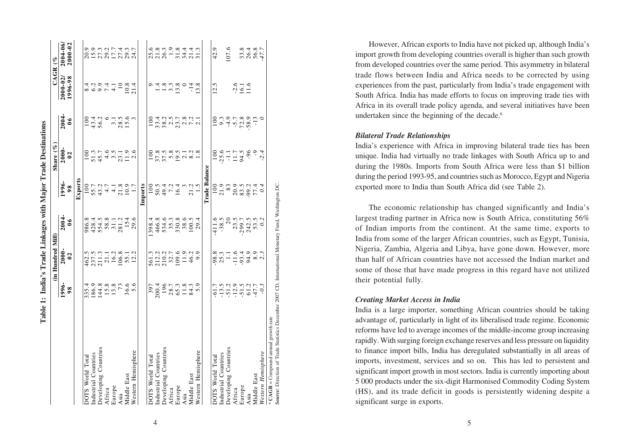|                                                                                                                                             | Table 1: India's Trade Linkages with Major Trade Destinations                               |                                                                                     |                                             |                                                                                                                                                                                                                                                                                                               |                                                   |                                                                                                                                                                                                                                                                                       |                                    |                                                               |
|---------------------------------------------------------------------------------------------------------------------------------------------|---------------------------------------------------------------------------------------------|-------------------------------------------------------------------------------------|---------------------------------------------|---------------------------------------------------------------------------------------------------------------------------------------------------------------------------------------------------------------------------------------------------------------------------------------------------------------|---------------------------------------------------|---------------------------------------------------------------------------------------------------------------------------------------------------------------------------------------------------------------------------------------------------------------------------------------|------------------------------------|---------------------------------------------------------------|
|                                                                                                                                             |                                                                                             | (in Hundred Mill)                                                                   |                                             |                                                                                                                                                                                                                                                                                                               | Share $(\%$                                       |                                                                                                                                                                                                                                                                                       | $CAGR$ (%                          |                                                               |
|                                                                                                                                             | 1996-<br>98                                                                                 | $2000 -$<br>$\overline{0}$                                                          | 2004<br>$\boldsymbol{0}$                    | 1996-<br>$\frac{8}{3}$                                                                                                                                                                                                                                                                                        | $2000 -$<br>$\overline{0}$                        | 2004<br>$\boldsymbol{0}$                                                                                                                                                                                                                                                              | $2000 - 02$<br>1996-98             | 2004-06/<br>2000-02                                           |
|                                                                                                                                             |                                                                                             |                                                                                     |                                             | Exports                                                                                                                                                                                                                                                                                                       |                                                   |                                                                                                                                                                                                                                                                                       |                                    |                                                               |
| DOTS World Total                                                                                                                            |                                                                                             |                                                                                     |                                             |                                                                                                                                                                                                                                                                                                               |                                                   | $\frac{100}{2}$                                                                                                                                                                                                                                                                       |                                    |                                                               |
| ndustrial Countries                                                                                                                         | 336115.8<br>0.8415.8<br>0.9415.8                                                            | 462.5<br>237.5<br>211.3<br>21.1 16.2<br>106.8<br>12.2                               | 986.8<br>428.4.5<br>554.5<br>53.1.54<br>154 | $\begin{array}{c} 100 \\ 55.7 \\ 64.7 \\ 70.9 \\ 10.9 \\ 10.9 \\ 10.9 \\ 10.9 \\ 10.9 \\ 10.9 \\ 10.9 \\ 10.9 \\ 10.9 \\ 10.9 \\ 10.9 \\ 10.9 \\ 10.9 \\ 10.9 \\ 10.9 \\ 10.9 \\ 10.9 \\ 10.9 \\ 10.9 \\ 10.9 \\ 10.9 \\ 10.9 \\ 10.9 \\ 10.9 \\ 10.9 \\ 10.9 \\ 10.9 \\ 10.9 \\ 10.9 \\ 10.9 \\ 10.9 \\ 10.$ |                                                   |                                                                                                                                                                                                                                                                                       | $8.6974 - 0.81$<br>$8.6974 - 0.81$ | 9 9 9 9 1 7 7 4 9 1<br>0 5 9 1 7 7 9 9 1<br>0 1 0 1 1 1 2 9 1 |
| Developing Countries                                                                                                                        |                                                                                             |                                                                                     |                                             |                                                                                                                                                                                                                                                                                                               |                                                   | $43.4$<br>56.2                                                                                                                                                                                                                                                                        |                                    |                                                               |
| Africa                                                                                                                                      |                                                                                             |                                                                                     |                                             |                                                                                                                                                                                                                                                                                                               |                                                   |                                                                                                                                                                                                                                                                                       |                                    |                                                               |
| Europe                                                                                                                                      |                                                                                             |                                                                                     |                                             |                                                                                                                                                                                                                                                                                                               |                                                   |                                                                                                                                                                                                                                                                                       |                                    |                                                               |
| Asia                                                                                                                                        |                                                                                             |                                                                                     |                                             |                                                                                                                                                                                                                                                                                                               |                                                   | $3.56$<br>$28.56$<br>$15.6$                                                                                                                                                                                                                                                           |                                    |                                                               |
| Middle East                                                                                                                                 |                                                                                             |                                                                                     |                                             |                                                                                                                                                                                                                                                                                                               |                                                   |                                                                                                                                                                                                                                                                                       |                                    |                                                               |
| Western Hemisphere                                                                                                                          | 73<br>36.6<br>5.6                                                                           |                                                                                     | 29.6                                        | 1.7                                                                                                                                                                                                                                                                                                           |                                                   |                                                                                                                                                                                                                                                                                       |                                    |                                                               |
|                                                                                                                                             |                                                                                             |                                                                                     |                                             | Imports                                                                                                                                                                                                                                                                                                       |                                                   |                                                                                                                                                                                                                                                                                       |                                    |                                                               |
| DOTS World Total                                                                                                                            |                                                                                             |                                                                                     | .398.                                       |                                                                                                                                                                                                                                                                                                               |                                                   | $\frac{100}{100}$                                                                                                                                                                                                                                                                     |                                    |                                                               |
| industrial Countries                                                                                                                        |                                                                                             |                                                                                     |                                             |                                                                                                                                                                                                                                                                                                               |                                                   |                                                                                                                                                                                                                                                                                       |                                    |                                                               |
| Developing Countries                                                                                                                        |                                                                                             |                                                                                     |                                             |                                                                                                                                                                                                                                                                                                               |                                                   |                                                                                                                                                                                                                                                                                       |                                    |                                                               |
| Africa                                                                                                                                      |                                                                                             |                                                                                     | 466.8<br>534.6<br>536.8<br>530.8<br>100.5   | $100$<br>50.3<br>50.4<br>16.4                                                                                                                                                                                                                                                                                 |                                                   |                                                                                                                                                                                                                                                                                       | $94898$<br>$14898$<br>$198$        |                                                               |
| Europe                                                                                                                                      |                                                                                             |                                                                                     |                                             |                                                                                                                                                                                                                                                                                                               |                                                   |                                                                                                                                                                                                                                                                                       |                                    |                                                               |
| Asia                                                                                                                                        |                                                                                             |                                                                                     |                                             |                                                                                                                                                                                                                                                                                                               |                                                   |                                                                                                                                                                                                                                                                                       | $\circ$                            |                                                               |
| Middle East                                                                                                                                 | $\begin{array}{c} 397 \\ 200.4 \\ 196 \\ 28.7 \\ 65.3 \\ 61.8 \\ 7.9 \\ 8.9 \\ \end{array}$ | 561.3<br>212.2<br>210.2<br>109.146.9<br>109.9                                       |                                             | $\frac{3}{21.5}$                                                                                                                                                                                                                                                                                              |                                                   | $\begin{array}{c} 1.75 & 0.75 & 0.75 \\ 0.75 & 0.75 & 0.75 \\ 0.75 & 0.75 & 0.75 \\ 0.75 & 0.75 & 0.75 \\ 0.75 & 0.75 & 0.75 \\ 0.75 & 0.75 & 0.75 \\ 0.75 & 0.75 & 0.75 \\ 0.75 & 0.75 & 0.75 \\ 0.75 & 0.75 & 0.75 \\ 0.75 & 0.75 & 0.75 \\ 0.75 & 0.75 & 0.75 \\ 0.75 & 0.75 & 0.$ | $-14$                              | e se no se dan<br>Salah dan dan<br>Salah dan dan              |
| Western Hemisphere                                                                                                                          |                                                                                             |                                                                                     | 29.4                                        |                                                                                                                                                                                                                                                                                                               |                                                   |                                                                                                                                                                                                                                                                                       | 13.8                               |                                                               |
|                                                                                                                                             |                                                                                             |                                                                                     |                                             | <b>Trade Balance</b>                                                                                                                                                                                                                                                                                          |                                                   |                                                                                                                                                                                                                                                                                       |                                    |                                                               |
| DOTS World Total                                                                                                                            |                                                                                             |                                                                                     | 411.6                                       |                                                                                                                                                                                                                                                                                                               |                                                   |                                                                                                                                                                                                                                                                                       | 12.5                               | 42.9                                                          |
| ndustrial Countries                                                                                                                         | $-61.7$<br>$-13.5$<br>$-12.9$<br>$-15.12$<br>$-61.2$<br>$-47.7$                             | $8.8$<br>$8.7 - 1.6$<br>$9.4$<br>$9.8$<br>$0.7$<br>$1.6$<br>$0.9$<br>$0.7$<br>$0.7$ | $-38.5$                                     | $\begin{array}{c} 100 \\ 21.9 \\ 83.9 \\ 20.9 \\ 71.4 \end{array}$                                                                                                                                                                                                                                            | $100$<br>25.6<br>$-1.7$<br>34.9<br>$-9$<br>$-2.4$ | $100$<br>$9.9789$<br>$100$<br>$100$<br>$100$<br>$10$<br>$10$                                                                                                                                                                                                                          |                                    |                                                               |
| Developing Countries                                                                                                                        |                                                                                             |                                                                                     | 20                                          |                                                                                                                                                                                                                                                                                                               |                                                   |                                                                                                                                                                                                                                                                                       |                                    | 107.6                                                         |
| Africa                                                                                                                                      |                                                                                             |                                                                                     |                                             |                                                                                                                                                                                                                                                                                                               |                                                   |                                                                                                                                                                                                                                                                                       |                                    |                                                               |
| Europe                                                                                                                                      |                                                                                             |                                                                                     | 23.5<br>299.7<br>245<br>53                  |                                                                                                                                                                                                                                                                                                               |                                                   |                                                                                                                                                                                                                                                                                       | $-2.6$<br>16.1<br>11.6             | 33.47.7<br>26.47.7                                            |
| Asia                                                                                                                                        |                                                                                             |                                                                                     |                                             |                                                                                                                                                                                                                                                                                                               |                                                   |                                                                                                                                                                                                                                                                                       |                                    |                                                               |
| Middle East                                                                                                                                 |                                                                                             |                                                                                     |                                             |                                                                                                                                                                                                                                                                                                               |                                                   |                                                                                                                                                                                                                                                                                       |                                    |                                                               |
| Western Hemisphere                                                                                                                          | $-0.3$                                                                                      |                                                                                     | 0.2                                         | 0.4                                                                                                                                                                                                                                                                                                           |                                                   |                                                                                                                                                                                                                                                                                       |                                    |                                                               |
| Source: Direction of Trade Statistics December 2007 CD, International Monetary Fund, Washington DC.<br>* CAGR = Compound annual growth rate |                                                                                             |                                                                                     |                                             |                                                                                                                                                                                                                                                                                                               |                                                   |                                                                                                                                                                                                                                                                                       |                                    |                                                               |

4

However, African exports to India have not picked up, although India's import growth from developing countries overall is higher than such growth from developed countries over the same period. This asymmetry in bilateral trade flows between India and Africa needs to be corrected by using experiences from the past, particularly from India's trade engagement with South Africa. India has made efforts to focus on improving trade ties with Africa in its overall trade policy agenda, and several initiatives have been undertaken since the beginning of the decade. 6

# *Bilateral Trade Relationships*

India's experience with Africa in improving bilateral trade ties has been unique. India had virtually no trade linkages with South Africa up to and during the 1980s. Imports from South Africa were less than \$1 billion during the period 1993-95, and countries such as Morocco, Egypt and Nigeria exported more to India than South Africa did (see Table 2).

The economic relationship has changed significantly and India's largest trading partner in Africa now is South Africa, constituting 56% of Indian imports from the continent. At the same time, exports to India from some of the larger African countries, such as Egypt, Tunisia, Nigeria, Zambia, Algeria and Libya, have gone down. However, more than half of African countries have not accessed the Indian market and some of those that have made progress in this regard have not utilized their potential fully.

# *Creating Market Access in India*

India is a large importer, something African countries should be taking advantage of, particularly in light of its liberalised trade regime. Economic reforms have led to average incomes of the middle-income group increasing rapidly. With surging foreign exchange reserves and less pressure on liquidity to finance import bills, India has deregulated substantially in all areas of imports, investment, services and so on. This has led to persistent and significant import growth in most sectors. India is currently importing about 5 000 products under the six-digit Harmonised Commodity Coding System (HS), and its trade deficit in goods is persistently widening despite a significant surge in exports.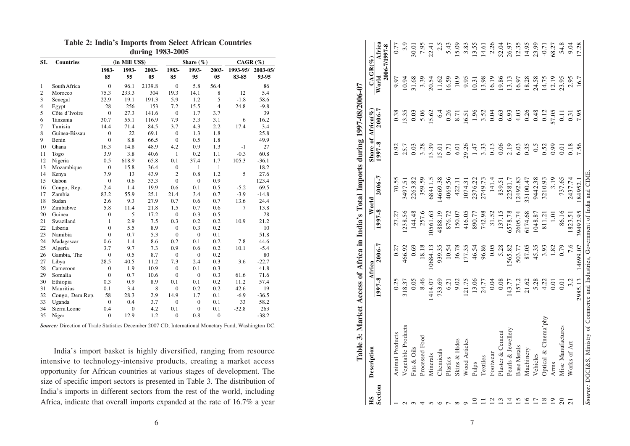|  |  |                  | <b>Table 2: India's Imports from Select African Countries</b> |
|--|--|------------------|---------------------------------------------------------------|
|  |  | during 1983-2005 |                                                               |

|                |                  |                |                | $0.001 \text{ m}$ $1.000 \text{ m}$ |                |                |                |             |          |
|----------------|------------------|----------------|----------------|-------------------------------------|----------------|----------------|----------------|-------------|----------|
| SI.            | <b>Countries</b> |                | (in Mill US\$) |                                     |                | Share $(\%)$   |                | $CAGR (\%)$ |          |
|                |                  | 1983-          | 1993-          | 2003-                               | 1983-          | 1993-          | 2003-          | 1993-95/    | 2003-05/ |
|                |                  | 85             | 95             | 0 <sub>5</sub>                      | 85             | 95             | 0 <sub>5</sub> | 83-85       | 93-95    |
| 1              | South Africa     | $\overline{0}$ | 96.1           | 2139.8                              | $\theta$       | 5.8            | 56.4           |             | 86       |
| $\overline{2}$ | Morocco          | 75.3           | 233.3          | 304                                 | 19.3           | 14.1           | 8              | 12          | 5.4      |
| 3              | Senegal          | 22.9           | 19.1           | 191.3                               | 5.9            | 1.2            | 5              | $-1.8$      | 58.6     |
| $\overline{4}$ | Egypt            | 28             | 256            | 153                                 | 7.2            | 15.5           | $\overline{4}$ | 24.8        | $-9.8$   |
| 5              | Côte d'Ivoire    | $\overline{0}$ | 27.3           | 141.6                               | $\overline{0}$ | 1.7            | 3.7            |             | 39       |
| 6              | Tanzania         | 30.7           | 55.1           | 116.9                               | 7.9            | 3.3            | 3.1            | 6           | 16.2     |
| 7              | Tunisia          | 14.4           | 71.4           | 84.5                                | 3.7            | 4.3            | 2.2            | 17.4        | 3.4      |
| 8              | Guinea-Bissau    | $\overline{0}$ | 22             | 69.1                                | $\overline{0}$ | 1.3            | 1.8            |             | 25.8     |
| 9              | Benin            | $\overline{0}$ | 8.8            | 66.5                                | $\overline{0}$ | 0.5            | 1.8            |             | 49.9     |
| 10             | Ghana            | 16.3           | 14.8           | 48.9                                | 4.2            | 0.9            | 1.3            | $-1$        | 27       |
| 11             | Togo             | 3.9            | 3.8            | 40.6                                | 1              | 0.2            | 1.1            | $-0.3$      | 60.8     |
| 12             | Nigeria          | 0.5            | 618.9          | 65.8                                | 0.1            | 37.4           | 1.7            | 105.3       | $-36.1$  |
| 13             | Mozambique       | $\mathbf{0}$   | 15.8           | 36.4                                | $\mathbf{0}$   | $\mathbf{1}$   | $\mathbf{1}$   |             | 18.2     |
| 14             | Kenya            | 7.9            | 13             | 43.9                                | $\overline{2}$ | 0.8            | 1.2            | 5           | 27.6     |
| 15             | Gabon            | $\overline{0}$ | 0.6            | 33.3                                | $\theta$       | $\theta$       | 0.9            |             | 123.4    |
| 16             | Congo, Rep.      | 2.4            | 1.4            | 19.9                                | 0.6            | 0.1            | 0.5            | $-5.2$      | 69.5     |
| 17             | Zambia           | 83.2           | 55.9           | 25.1                                | 21.4           | 3.4            | 0.7            | $-3.9$      | $-14.8$  |
| 18             | Sudan            | 2.6            | 9.3            | 27.9                                | 0.7            | 0.6            | 0.7            | 13.6        | 24.4     |
| 19             | Zimbabwe         | 5.8            | 11.4           | 21.8                                | 1.5            | 0.7            | 0.6            | $\tau$      | 13.8     |
| 20             | Guinea           | $\overline{0}$ | 5              | 17.2                                | $\overline{0}$ | 0.3            | 0.5            |             | 28       |
| 21             | Swaziland        | 1              | 2.9            | 7.5                                 | 0.3            | 0.2            | 0.2            | 10.9        | 21.2     |
| 22             | Liberia          | $\overline{0}$ | 5.5            | 8.9                                 | $\overline{0}$ | 0.3            | 0.2            |             | 10       |
| 23             | Namibia          | $\overline{0}$ | 0.7            | 5.3                                 | $\theta$       | $\mathbf{0}$   | 0.1            |             | 51.8     |
| 24             | Madagascar       | 0.6            | 1.4            | 8.6                                 | 0.2            | 0.1            | 0.2            | 7.8         | 44.6     |
| 25             | Algeria          | 3.7            | 9.7            | 7.3                                 | 0.9            | 0.6            | 0.2            | 10.1        | $-5.4$   |
| 26             | Gambia, The      | $\overline{0}$ | 0.5            | 8.7                                 | $\mathbf{0}$   | $\overline{0}$ | 0.2            |             | 80       |
| 27             | Libya            | 28.5           | 40.5           | 11.2                                | 7.3            | 2.4            | 0.3            | 3.6         | $-22.7$  |
| 28             | Cameroon         | $\overline{0}$ | 1.9            | 10.9                                | $\overline{0}$ | 0.1            | 0.3            |             | 41.8     |
| 29             | Somalia          | $\overline{0}$ | 0.7            | 10.6                                | $\overline{0}$ | $\overline{0}$ | 0.3            | 61.6        | 71.6     |
| 30             | Ethiopia         | 0.3            | 0.9            | 8.9                                 | 0.1            | 0.1            | 0.2            | 11.2        | 57.4     |
| 31             | Mauritius        | 0.1            | 3.4            | 8                                   | $\theta$       | 0.2            | 0.2            | 42.6        | 19       |
| 32             | Congo, Dem.Rep.  | 58             | 28.3           | 2.9                                 | 14.9           | 1.7            | 0.1            | $-6.9$      | $-36.5$  |
| 33             | Uganda           | $\overline{0}$ | 0.4            | 3.7                                 | $\mathbf{0}$   | $\overline{0}$ | 0.1            | 33          | 58.2     |
| 34             | Sierra Leone     | 0.4            | $\overline{0}$ | 4.2                                 | 0.1            | $\overline{0}$ | 0.1            | $-32.8$     | 263      |
| 35             | Niger            | $\overline{0}$ | 12.9           | 1.2                                 | $\theta$       | 0.8            | $\overline{0}$ |             | $-38.2$  |

*Source:* Direction of Trade Statistics December 2007 CD, International Monetary Fund, Washington DC.

India's import basket is highly diversified, ranging from resource intensive to technology-intensive products, creating a market access opportunity for African countries at various stages of development. The size of specific import sectors is presented in Table 3. The distribution of India's imports in different sectors from the rest of the world, including Africa, indicate that overall imports expanded at the rate of 16.7% a year

| Vegetable Products<br>Pearls & Jewellery<br>Plaster & Cement<br><b>Animal Products</b><br>Processed Food<br>Wood Articles<br>Skins & Hides<br><b>Base Metals</b><br>Fats & Oils<br>Chemicals<br>Footwear<br>Minerals<br>Textiles<br>Plastics<br>Pulps<br>Section<br>$\overline{10}$<br>15<br>12<br>13<br>$\overline{1}$<br>$\Xi$<br>$\sigma$<br>$\circ$ $\sim$<br>$\infty$<br>$\Omega$ | 1997-8<br>0.25<br>318.37 | Africa     |          | World    | Share of Africa $(\%$ |                  | $CAGR(\%)$ |                         |
|----------------------------------------------------------------------------------------------------------------------------------------------------------------------------------------------------------------------------------------------------------------------------------------------------------------------------------------------------------------------------------------|--------------------------|------------|----------|----------|-----------------------|------------------|------------|-------------------------|
|                                                                                                                                                                                                                                                                                                                                                                                        |                          | $2006 - 7$ | 1997-8   | 2006-7   | $\sqrt{997.8}$        | 2006-7           | World      | Africa<br>2006-7/1997-8 |
|                                                                                                                                                                                                                                                                                                                                                                                        |                          | 0.27       | 27.27    | 70.55    | 0.92                  | 0.38             | 9.97       | 0.77                    |
|                                                                                                                                                                                                                                                                                                                                                                                        |                          | 466.92     | .238.56  | 3497.51  | 25.7                  | 3.35             | 10.94      | 3.9                     |
|                                                                                                                                                                                                                                                                                                                                                                                        | 0.05                     | 0.69       | 144.48   | 2263.82  | 0.03                  | 0.03             | 31.68      | 30.01                   |
|                                                                                                                                                                                                                                                                                                                                                                                        | 8.46                     | 18.18      | 257.6    | 359.59   | 3.28                  | 5.06             | 3.39       | 7.95                    |
|                                                                                                                                                                                                                                                                                                                                                                                        | 1414.07                  | 0684.13    | 0561.63  | 68411.5  | 3.39                  | 5.62             | 20.54      | 22.41                   |
|                                                                                                                                                                                                                                                                                                                                                                                        | 733.69                   | 939.35     | 4888.19  | 4669.38  | 15.01                 | 6.4              | 11.62      | 2.5                     |
|                                                                                                                                                                                                                                                                                                                                                                                        | 6.21                     | 10.54      | 876.72   | 4069.56  | 0.71                  | 0.26             | 16.59      | 5.43                    |
|                                                                                                                                                                                                                                                                                                                                                                                        | 9.02                     | 36.78      | 150.07   | 422.11   | 6.01                  | 8.71             | 10.9       | 15.09                   |
|                                                                                                                                                                                                                                                                                                                                                                                        | 121.75                   | 177.35     | 416.05   | 1074.31  | 29.26                 | 16.51            | 9.95       | 3.83                    |
|                                                                                                                                                                                                                                                                                                                                                                                        | 13.06                    | 46.54      | 890.77   | 2376.22  | 1.47                  | 1.96             | 10.31      | 13.55                   |
|                                                                                                                                                                                                                                                                                                                                                                                        | 24.77                    | 96.86      | 742.98   | 2749.73  | 3.33                  | 3.52             | 13.98      | 14.61                   |
|                                                                                                                                                                                                                                                                                                                                                                                        | 0.04                     | 0.05       | 31.52    | 141.4    | 0.13                  | 0.04             | 16.19      | 2.26                    |
|                                                                                                                                                                                                                                                                                                                                                                                        | 0.08                     | 5.28       | 137.15   | 839.51   | 0.06                  | 0.63             | 19.86      | 52.04                   |
|                                                                                                                                                                                                                                                                                                                                                                                        | 43.77                    | 565.82     | 6578.78  | 22581.7  | 2.19                  | 6.93             | 13.13      | 26.97                   |
|                                                                                                                                                                                                                                                                                                                                                                                        | 157.2                    | 503.77     | 2605.74  | 2492.83  | 6.03                  | 4.03             | 16.97      | 12.35                   |
| Machinery<br>16                                                                                                                                                                                                                                                                                                                                                                        | 21.62                    | 87.05      | 5174.68  | 33100.47 | 0.35                  | $0.26$<br>0.48   | 18.28      | 14.95                   |
| Vehicles<br>$\overline{17}$                                                                                                                                                                                                                                                                                                                                                            | 5.28                     | 45.35      | 048.87   | 9442.38  | 0.5                   |                  | 24.58      | 23.99                   |
| Optical & Cinema'phy<br>18                                                                                                                                                                                                                                                                                                                                                             | 4.22                     | 3.93       | 811.21   | 3210.93  | 0.52                  | 0.12             | 14.75      | $-0.71$                 |
| Arms<br>$\overline{19}$                                                                                                                                                                                                                                                                                                                                                                | 0.01                     | 1.82       | 1.01     | 3.19     | 0.99                  | 57.05            | 12.19      | 68.27                   |
| Misc Manufactures<br>$\overline{c}$                                                                                                                                                                                                                                                                                                                                                    | 0.01                     | 0.79       | 86.16    | 737.65   | 0.01                  | $\overline{0}$ . | 23.95      | 54.8                    |
| Works of Art<br>$\overline{c}$                                                                                                                                                                                                                                                                                                                                                         | 3.2                      | 7.6        | 1823.51  | 2437.74  | 0.18                  | 0.31             | 2.95       | 9.04                    |
|                                                                                                                                                                                                                                                                                                                                                                                        | 2985.13                  | 14699.07   | 39492.95 | 184952.1 | 7.56                  | 7.95             | 16.7       | 17.28                   |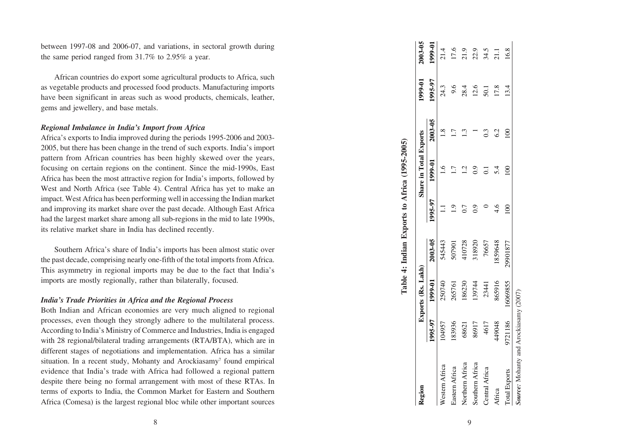between 1997-08 and 2006-07, and variations, in sectoral growth during the same period ranged from 31.7% to 2.95% a year.

African countries do export some agricultural products to Africa, such as vegetable products and processed food products. Manufacturing imports have been significant in areas such as wood products, chemicals, leather, gems and jewellery, and base metals.

# *Regional Imbalance in India's Import from Africa*

Africa's exports to India improved during the periods 1995-2006 and 2003- 2005, but there has been change in the trend of such exports. India's import pattern from African countries has been highly skewed over the years, focusing on certain regions on the continent. Since the mid-1990s, East Africa has been the most attractive region for India's imports, followed by West and North Africa (see Table 4). Central Africa has yet to make an impact. West Africa has been performing well in accessing the Indian market and improving its market share over the past decade. Although East Africa had the largest market share among all sub-regions in the mid to late 1990s, its relative market share in India has declined recently.

Southern Africa's share of India's imports has been almost static over the past decade, comprising nearly one-fifth of the total imports from Africa. This asymmetry in regional imports may be due to the fact that India's imports are mostly regionally, rather than bilaterally, focused.

# *India's Trade Priorities in Africa and the Regional Process*

Both Indian and African economies are very much aligned to regional processes, even though they strongly adhere to the multilateral process. According to India's Ministry of Commerce and Industries, India is engaged with 28 regional/bilateral trading arrangements (RTA/BTA), which are in different stages of negotiations and implementation. Africa has a similar situation. In a recent study, Mohanty and Arockiasamy<sup>7</sup> found empirical evidence that India's trade with Africa had followed a regional pattern despite there being no formal arrangement with most of these RTAs. In terms of exports to India, the Common Market for Eastern and Southern Africa (Comesa) is the largest regional bloc while other important sources

| 1995-97<br>9.6<br>12.6<br>24.3<br>28.4<br>17.8<br>13.4<br>50.1<br>2003-05<br>62<br>0.3<br>$\mathbf{S}$<br>1999-01<br>5.4<br>8<br>္ပဲ<br>1995-97<br>$\frac{4}{6}$<br>$\infty$<br>2003-05<br>545443<br>29901877<br>410728<br>318920<br>76657<br>1859648<br>507901<br>1999-01<br>16069855<br>865916<br>250740<br>186230<br>139744<br>265761<br>23441<br>1995-97<br>9721186<br>183936<br>449048<br>104957<br>86917<br>4617<br>68621<br>Northern Africa<br>Southern Africa<br>Western Africa<br>Eastern Africa<br>Central Africa<br><b>Total Exports</b><br>Africa | Kegion | Exports (Rs. Lakh) |  | Share in Total Exports | 1999-01 | 2003-05 |
|---------------------------------------------------------------------------------------------------------------------------------------------------------------------------------------------------------------------------------------------------------------------------------------------------------------------------------------------------------------------------------------------------------------------------------------------------------------------------------------------------------------------------------------------------------------|--------|--------------------|--|------------------------|---------|---------|
|                                                                                                                                                                                                                                                                                                                                                                                                                                                                                                                                                               |        |                    |  |                        |         | 1999-01 |
|                                                                                                                                                                                                                                                                                                                                                                                                                                                                                                                                                               |        |                    |  |                        |         | 21.4    |
|                                                                                                                                                                                                                                                                                                                                                                                                                                                                                                                                                               |        |                    |  |                        |         | 17.6    |
|                                                                                                                                                                                                                                                                                                                                                                                                                                                                                                                                                               |        |                    |  |                        |         | 21.9    |
|                                                                                                                                                                                                                                                                                                                                                                                                                                                                                                                                                               |        |                    |  |                        |         | 22.9    |
|                                                                                                                                                                                                                                                                                                                                                                                                                                                                                                                                                               |        |                    |  |                        |         | 34.5    |
|                                                                                                                                                                                                                                                                                                                                                                                                                                                                                                                                                               |        |                    |  |                        |         | 21.1    |
|                                                                                                                                                                                                                                                                                                                                                                                                                                                                                                                                                               |        |                    |  |                        |         | 16.8    |

9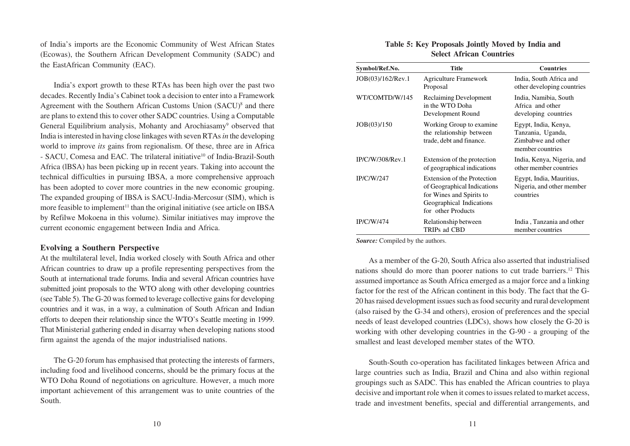of India's imports are the Economic Community of West African States (Ecowas), the Southern African Development Community (SADC) and the EastAfrican Community (EAC).

India's export growth to these RTAs has been high over the past two decades. Recently India's Cabinet took a decision to enter into a Framework Agreement with the Southern African Customs Union (SACU)<sup>8</sup> and there are plans to extend this to cover other SADC countries. Using a Computable General Equilibrium analysis, Mohanty and Arochiasamy<sup>9</sup> observed that India is interested in having close linkages with seven RTAs *in* the developing world to improve *its* gains from regionalism. Of these, three are in Africa - SACU, Comesa and EAC. The trilateral initiative<sup>10</sup> of India-Brazil-South Africa (lBSA) has been picking up in recent years. Taking into account the technical difficulties in pursuing IBSA, a more comprehensive approach has been adopted to cover more countries in the new economic grouping. The expanded grouping of IBSA is SACU-India-Mercosur (SIM), which is more feasible to implement<sup>11</sup> than the original initiative (see article on IBSA by Refilwe Mokoena in this volume). Similar initiatives may improve the current economic engagement between India and Africa.

# **Evolving a Southern Perspective**

At the multilateral level, India worked closely with South Africa and other African countries to draw up a profile representing perspectives from the South at international trade forums. India and several African countries have submitted joint proposals to the WTO along with other developing countries (see Table 5). The G-20 was formed to leverage collective gains for developing countries and it was, in a way, a culmination of South African and Indian efforts to deepen their relationship since the WTO's Seattle meeting in 1999. That Ministerial gathering ended in disarray when developing nations stood firm against the agenda of the major industrialised nations.

The G-20 forum has emphasised that protecting the interests of farmers, including food and livelihood concerns, should be the primary focus at the WTO Doha Round of negotiations on agriculture. However, a much more important achievement of this arrangement was to unite countries of the South.

#### **Table 5: Key Proposals Jointly Moved by India and Select African Countries**

| Symbol/Ref.No.    | <b>Title</b>                                                                                                                             | <b>Countries</b>                                                                    |
|-------------------|------------------------------------------------------------------------------------------------------------------------------------------|-------------------------------------------------------------------------------------|
| JOB(03)/162/Rev.1 | <b>Agriculture Framework</b><br>Proposal                                                                                                 | India, South Africa and<br>other developing countries                               |
| WT/COMTD/W/145    | Reclaiming Development<br>in the WTO Doha<br>Development Round                                                                           | India, Namibia, South<br>Africa and other<br>developing countries                   |
| JOB(03)/150       | Working Group to examine<br>the relationship between<br>trade, debt and finance.                                                         | Egypt, India, Kenya,<br>Tanzania, Uganda,<br>Zimbabwe and other<br>member countries |
| IP/C/W/308/Rev.1  | Extension of the protection<br>of geographical indications                                                                               | India, Kenya, Nigeria, and<br>other member countries                                |
| <b>IP/C/W/247</b> | Extension of the Protection<br>of Geographical Indications<br>for Wines and Spirits to<br>Geographical Indications<br>for other Products | Egypt, India, Mauritius,<br>Nigeria, and other member<br>countries                  |
| IP/C/W/474        | Relationship between<br>TRIPs ad CBD                                                                                                     | India, Tanzania and other<br>member countries                                       |

*Source:* Compiled by the authors.

As a member of the G-20, South Africa also asserted that industrialised nations should do more than poorer nations to cut trade barriers.12 This assumed importance as South Africa emerged as a major force and a linking factor for the rest of the African continent in this body. The fact that the G-20 has raised development issues such as food security and rural development (also raised by the G-34 and others), erosion of preferences and the special needs of least developed countries (LDCs), shows how closely the G-20 is working with other developing countries in the G-90 - a grouping of the smallest and least developed member states of the WTO.

South-South co-operation has facilitated linkages between Africa and large countries such as India, Brazil and China and also within regional groupings such as SADC. This has enabled the African countries to playa decisive and important role when it comes to issues related to market access, trade and investment benefits, special and differential arrangements, and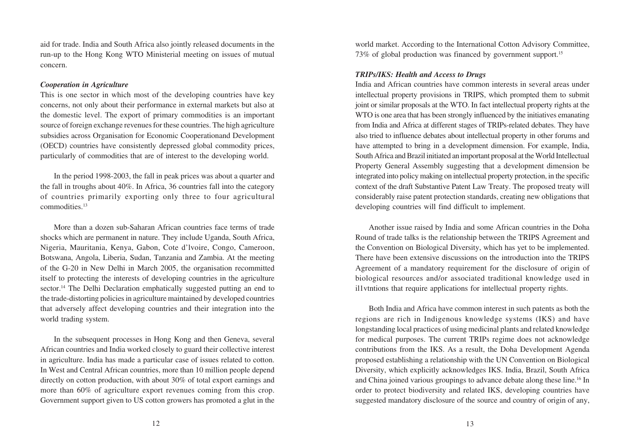aid for trade. India and South Africa also jointly released documents in the run-up to the Hong Kong WTO Ministerial meeting on issues of mutual concern.

# *Cooperation in Agriculture*

This is one sector in which most of the developing countries have key concerns, not only about their performance in external markets but also at the domestic level. The export of primary commodities is an important source of foreign exchange revenues for these countries. The high agriculture subsidies across Organisation for Economic Cooperationand Development (OECD) countries have consistently depressed global commodity prices, particularly of commodities that are of interest to the developing world.

In the period 1998-2003, the fall in peak prices was about a quarter and the fall in troughs about 40%. In Africa, 36 countries fall into the category of countries primarily exporting only three to four agricultural commodities.13

More than a dozen sub-Saharan African countries face terms of trade shocks which are permanent in nature. They include Uganda, South Africa, Nigeria, Mauritania, Kenya, Gabon, Cote d'lvoire, Congo, Cameroon, Botswana, Angola, Liberia, Sudan, Tanzania and Zambia. At the meeting of the G-20 in New Delhi in March 2005, the organisation recommitted itself to protecting the interests of developing countries in the agriculture sector.<sup>14</sup> The Delhi Declaration emphatically suggested putting an end to the trade-distorting policies in agriculture maintained by developed countries that adversely affect developing countries and their integration into the world trading system.

In the subsequent processes in Hong Kong and then Geneva, several African countries and India worked closely to guard their collective interest in agriculture. India has made a particular case of issues related to cotton. In West and Central African countries, more than 10 million people depend directly on cotton production, with about 30% of total export earnings and more than 60% of agriculture export revenues coming from this crop. Government support given to US cotton growers has promoted a glut in the world market. According to the International Cotton Advisory Committee, 73% of global production was financed by government support.<sup>15</sup>

# *TRIPs/IKS: Health and Access to Drugs*

India and African countries have common interests in several areas under intellectual property provisions in TRIPS, which prompted them to submit joint or similar proposals at the WTO. In fact intellectual property rights at the WTO is one area that has been strongly influenced by the initiatives emanating from India and Africa at different stages of TRIPs-related debates. They have also tried to influence debates about intellectual property in other forums and have attempted to bring in a development dimension. For example, India, South Africa and Brazil initiated an important proposal at the World Intellectual Property General Assembly suggesting that a development dimension be integrated into policy making on intellectual property protection, in the specific context of the draft Substantive Patent Law Treaty. The proposed treaty will considerably raise patent protection standards, creating new obligations that developing countries will find difficult to implement.

Another issue raised by India and some African countries in the Doha Round of trade talks is the relationship between the TRIPS Agreement and the Convention on Biological Diversity, which has yet to be implemented. There have been extensive discussions on the introduction into the TRIPS Agreement of a mandatory requirement for the disclosure of origin of biological resources and/or associated traditional knowledge used in il1vtntions that require applications for intellectual property rights.

Both India and Africa have common interest in such patents as both the regions are rich in Indigenous knowledge systems (IKS) and have longstanding local practices of using medicinal plants and related knowledge for medical purposes. The current TRIPs regime does not acknowledge contributions from the IKS. As a result, the Doha Development Agenda proposed establishing a relationship with the UN Convention on Biological Diversity, which explicitly acknowledges IKS. India, Brazil, South Africa and China joined various groupings to advance debate along these line.16 In order to protect biodiversity and related IKS, developing countries have suggested mandatory disclosure of the source and country of origin of any,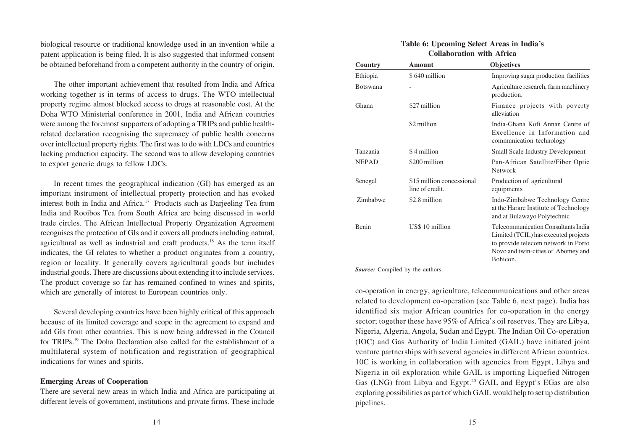biological resource or traditional knowledge used in an invention while a patent application is being filed. It is also suggested that informed consent be obtained beforehand from a competent authority in the country of origin.

The other important achievement that resulted from India and Africa working together is in terms of access to drugs. The WTO intellectual property regime almost blocked access to drugs at reasonable cost. At the Doha WTO Ministerial conference in 2001, India and African countries were among the foremost supporters of adopting a TRIPs and public healthrelated declaration recognising the supremacy of public health concerns over intellectual property rights. The first was to do with LDCs and countries lacking production capacity. The second was to allow developing countries to export generic drugs to fellow LDCs.

In recent times the geographical indication (GI) has emerged as an important instrument of intellectual property protection and has evoked interest both in India and Africa.17 Products such as Darjeeling Tea from India and Rooibos Tea from South Africa are being discussed in world trade circles. The African Intellectual Property Organization Agreement recognises the protection of GIs and it covers all products including natural, agricultural as well as industrial and craft products.18 As the term itself indicates, the GI relates to whether a product originates from a country, region or locality. It generally covers agricultural goods but includes industrial goods. There are discussions about extending it to include services. The product coverage so far has remained confined to wines and spirits, which are generally of interest to European countries only.

Several developing countries have been highly critical of this approach because of its limited coverage and scope in the agreement to expand and add GIs from other countries. This is now being addressed in the Council for TRIPs.19 The Doha Declaration also called for the establishment of a multilateral system of notification and registration of geographical indications for wines and spirits.

#### **Emerging Areas of Cooperation**

There are several new areas in which India and Africa are participating at different levels of government, institutions and private firms. These include

## **Table 6: Upcoming Select Areas in India's Collaboration with Africa**

| <b>Country</b>  | Amount                                       | <b>Objectives</b>                                                                                                                                                    |
|-----------------|----------------------------------------------|----------------------------------------------------------------------------------------------------------------------------------------------------------------------|
| Ethiopia        | \$640 million                                | Improving sugar production facilities                                                                                                                                |
| <b>Botswana</b> |                                              | Agriculture research, farm machinery<br>production.                                                                                                                  |
| Ghana           | \$27 million                                 | Finance projects with poverty<br>alleviation                                                                                                                         |
|                 | \$2 million                                  | India-Ghana Kofi Annan Centre of<br>Excellence in Information and<br>communication technology                                                                        |
| Tanzania        | \$4 million                                  | <b>Small Scale Industry Development</b>                                                                                                                              |
| <b>NEPAD</b>    | \$200 million                                | Pan-African Satellite/Fiber Optic<br>Network                                                                                                                         |
| Senegal         | \$15 million concessional<br>line of credit. | Production of agricultural<br>equipments                                                                                                                             |
| Zimbabwe        | \$2.8 million                                | Indo-Zimbabwe Technology Centre<br>at the Harare Institute of Technology<br>and at Bulawayo Polytechnic                                                              |
| <b>Benin</b>    | US\$ 10 million                              | Telecommunication Consultants India<br>Limited (TCIL) has executed projects<br>to provide telecom network in Porto<br>Novo and twin-cities of Abomey and<br>Bohicon. |

*Source:* Compiled by the authors.

co-operation in energy, agriculture, telecommunications and other areas related to development co-operation (see Table 6, next page). India has identified six major African countries for co-operation in the energy sector; together these have 95% of Africa's oil reserves. They are Libya, Nigeria, Algeria, Angola, Sudan and Egypt. The Indian Oil Co-operation (IOC) and Gas Authority of India Limited (GAIL) have initiated joint venture partnerships with several agencies in different African countries. 10C is working in collaboration with agencies from Egypt, Libya and Nigeria in oil exploration while GAIL is importing Liquefied Nitrogen Gas (LNG) from Libya and Egypt.<sup>20</sup> GAIL and Egypt's EGas are also exploring possibilities as part of which GAIL would help to set up distribution pipelines.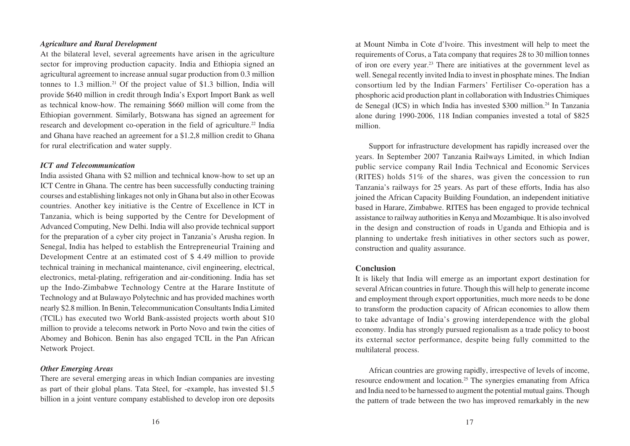#### *Agriculture and Rural Development*

At the bilateral level, several agreements have arisen in the agriculture sector for improving production capacity. India and Ethiopia signed an agricultural agreement to increase annual sugar production from 0.3 million tonnes to  $1.3$  million.<sup>21</sup> Of the project value of \$1.3 billion, India will provide \$640 million in credit through India's Export Import Bank as well as technical know-how. The remaining \$660 million will come from the Ethiopian government. Similarly, Botswana has signed an agreement for research and development co-operation in the field of agriculture.<sup>22</sup> India and Ghana have reached an agreement for a \$1.2,8 million credit to Ghana for rural electrification and water supply.

#### *ICT and Telecommunication*

India assisted Ghana with \$2 million and technical know-how to set up an ICT Centre in Ghana. The centre has been successfully conducting training courses and establishing linkages not only in Ghana but also in other Ecowas countries. Another key initiative is the Centre of Excellence in ICT in Tanzania, which is being supported by the Centre for Development of Advanced Computing, New Delhi. India will also provide technical support for the preparation of a cyber city project in Tanzania's Arusha region. In Senegal, India has helped to establish the Entrepreneurial Training and Development Centre at an estimated cost of \$ 4.49 million to provide technical training in mechanical maintenance, civil engineering, electrical, electronics, metal-plating, refrigeration and air-conditioning. India has set up the Indo-Zimbabwe Technology Centre at the Harare Institute of Technology and at Bulawayo Polytechnic and has provided machines worth nearly \$2.8 million. In Benin, Telecommunication Consultants India Limited (TClL) has executed two World Bank-assisted projects worth about \$10 million to provide a telecoms network in Porto Novo and twin the cities of Abomey and Bohicon. Benin has also engaged TCIL in the Pan African Network Project.

#### *Other Emerging Areas*

There are several emerging areas in which Indian companies are investing as part of their global plans. Tata Steel, for -example, has invested \$1.5 billion in a joint venture company established to develop iron ore deposits at Mount Nimba in Cote d'lvoire. This investment will help to meet the requirements of Corus, a Tata company that requires 28 to 30 million tonnes of iron ore every year.23 There are initiatives at the government level as well. Senegal recently invited India to invest in phosphate mines. The Indian consortium led by the Indian Farmers' Fertiliser Co-operation has a phosphoric acid production plant in collaboration with Industries Chimiques de Senegal (ICS) in which India has invested \$300 million.24 In Tanzania alone during 1990-2006, 118 Indian companies invested a total of \$825 million.

Support for infrastructure development has rapidly increased over the years. In September 2007 Tanzania Railways Limited, in which Indian public service company Rail India Technical and Economic Services (RITES) holds 51% of the shares, was given the concession to run Tanzania's railways for 25 years. As part of these efforts, India has also joined the African Capacity Building Foundation, an independent initiative based in Harare, Zimbabwe. RITES has been engaged to provide technical assistance to railway authorities in Kenya and Mozambique. It is also involved in the design and construction of roads in Uganda and Ethiopia and is planning to undertake fresh initiatives in other sectors such as power, construction and quality assurance.

## **Conclusion**

It is likely that India will emerge as an important export destination for several African countries in future. Though this will help to generate income and employment through export opportunities, much more needs to be done to transform the production capacity of African economies to allow them to take advantage of India's growing interdependence with the global economy. India has strongly pursued regionalism as a trade policy to boost its external sector performance, despite being fully committed to the multilateral process.

African countries are growing rapidly, irrespective of levels of income, resource endowment and location.25 The synergies emanating from Africa and India need to be harnessed to augment the potential mutual gains. Though the pattern of trade between the two has improved remarkably in the new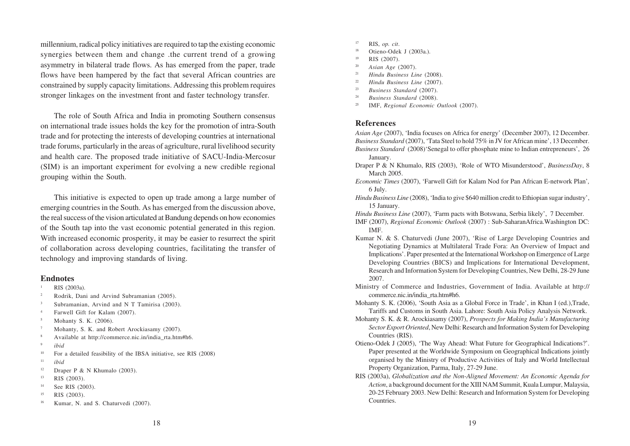millennium, radical policy initiatives are required to tap the existing economic synergies between them and change .the current trend of a growing asymmetry in bilateral trade flows. As has emerged from the paper, trade flows have been hampered by the fact that several African countries are constrained by supply capacity limitations. Addressing this problem requires stronger linkages on the investment front and faster technology transfer.

The role of South Africa and India in promoting Southern consensus on international trade issues holds the key for the promotion of intra-South trade and for protecting the interests of developing countries at international trade forums, particularly in the areas of agriculture, rural livelihood security and health care. The proposed trade initiative of SACU-India-Mercosur (SIM) is an important experiment for evolving a new credible regional grouping within the South.

This initiative is expected to open up trade among a large number of emerging countries in the South. As has emerged from the discussion above, the real success of the vision articulated at Bandung depends on how economies of the South tap into the vast economic potential generated in this region. With increased economic prosperity, it may be easier to resurrect the spirit of collaboration across developing countries, facilitating the transfer of technology and improving standards of living.

#### **Endnotes**

- RIS (2003a).
- <sup>2</sup> Rodrik, Dani and Arvind Subramanian (2005).
- Subramanian, Arvind and N T Tamirisa (2003).
- <sup>4</sup> Farwell Gift for Kalam (2007).
- <sup>5</sup> Mohanty S. K. (2006).
- Mohanty, S. K. and Robert Arockiasamy (2007).
- <sup>8</sup> Available at http://commerce.nic.in/india\_rta.htm#h6.
- <sup>9</sup> *ibid*
- <sup>10</sup> For a detailed feasibility of the IBSA initiative, see RIS (2008)
- <sup>11</sup> *ibid*
- <sup>12</sup> Draper P & N Khumalo (2003).
- $13$  RIS (2003).
- <sup>14</sup> See RIS (2003).
- $^{15}$  RIS (2003).
- Kumar, N. and S. Chaturvedi (2007).
- <sup>17</sup> RIS, *op. cit*.
- Otieno-Odek J (2003a.).
- $^{19}$  RIS (2007).
- <sup>20</sup> *Asian Age* (2007).
- <sup>21</sup> *Hindu Business Line* (2008).
- <sup>22</sup> *Hindu Business Line* (2007).
- <sup>23</sup> *Business Standard* (2007).
- <sup>24</sup> *Business Standard* (2008).
- <sup>25</sup> IMF, *Regional Economic Outlook* (2007).

# **References**

*Asian Age* (2007), 'India focuses on Africa for energy' (December 2007), 12 December. *Business Standard* (2007), 'Tata Steel to hold 75% in JV for African mine', 13 December. *Business Standard* (2008)'Senegal to offer phosphate mine to Indian entrepreneurs', 26 January.

- Draper P & N Khumalo, RIS (2003), 'Role of WTO Misunderstood', *BusinessDay*, 8 March 2005.
- *Economic Times* (2007), 'Farwell Gift for Kalam Nod for Pan African E-network Plan'*,* 6 July.
- *Hindu Business Line* (2008), 'India to give \$640 million credit to Ethiopian sugar industry', 15 January.

*Hindu Business Line* (2007), 'Farm pacts with Botswana, Serbia likely', 7 December.

IMF (2007), *Regional Economic Outlook* (2007) : Sub-SaharanAfrica.Washington DC: IMF.

- Kumar N. & S. Chaturvedi (June 2007), 'Rise of Large Developing Countries and Negotiating Dynamics at Multilateral Trade Fora: An Overview of Impact and Implications'. Paper presented at the International Workshop on Emergence of Large Developing Countries (BICS) and Implications for International Development, Research and Information System for Developing Countries, New Delhi, 28-29 June 2007.
- Ministry of Commerce and Industries, Government of India. Available at http:// commerce.nic.in/india\_rta.htm#h6.
- Mohanty S. K. (2006), 'South Asia as a Global Force in Trade', in Khan I (ed.),Trade, Tariffs and Customs in South Asia. Lahore: South Asia Policy Analysis Network.
- Mohanty S. K. & R. Arockiasamy (2007), *Prospects for Making India's Manufacturing Sector Export Oriented*, New Delhi: Research and Information System for Developing Countries (RIS).
- Otieno-Odek J (2005), 'The Way Ahead: What Future for Geographical Indications?'. Paper presented at the Worldwide Symposium on Geographical Indications jointly organised by the Ministry of Productive Activities of Italy and World Intellectual Property Organization, Parma, Italy, 27-29 June.
- RIS (2003a), *Globalization and the Non-Aligned Movement: An Economic Agenda for Action*, a background document for the XIII NAM Summit, Kuala Lumpur, Malaysia, 20-25 February 2003. New Delhi: Research and Information System for Developing Countries.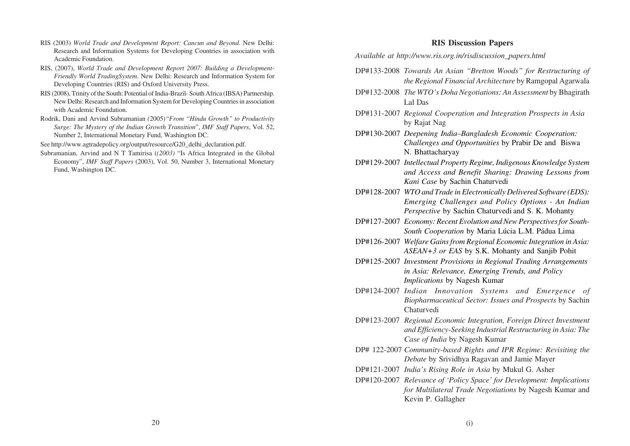- RIS (2003) *World Trade and Development Report: Cancun and Beyond*. New Delhi: Research and Information Systems for Developing Countries in association with Academic Foundation.
- RIS, (2007), *World Trade and Development Report 2007: Building a Development-Friendly World TradingSystem*. New Delhi: Research and Information System for Developing Countries (RIS) and Oxford University Press.
- RIS (2008), Trinity of the South: Potential of India-Brazil- South Africa (IBSA) Partnership. New Delhi: Research and Information System for Developing Countries in association with Academic Foundation.
- Rodrik, Dani and Arvind Subramanian *(*2005)*"From "Hindu Growth" to Productivity Surge: The Mystery of the Indian Growth Transition*", *IMF Staff Papers*, Vol. 52, Number 2, International Monetary Fund, Washington DC.
- See http://www.agtradepolicy.org/output/resource/G20\_delhi\_declaration.pdf.
- Subramanian, Arvind and N T Tamirisa (*(2003)* "Is Africa Integrated in the Global Economy", *IMF Staff Papers* (2003), Vol. 50, Number 3, International Monetary Fund, Washington DC.

#### **RIS Discussion Papers**

*Available at http://www.ris.org.in/risdiscussion\_papers.html*

- DP#133-2008 *Towards An Asian "Bretton Woods" for Restructuring of the Regional Financial Architecture* by Ramgopal Agarwala
- DP#132-2008 *The WTO's Doha Negotiations: An Assessment* by Bhagirath Lal Das
- DP#131-2007 *Regional Cooperation and Integration Prospects in Asia* by Rajat Nag
- DP#130-2007 *Deepening India–Bangladesh Economic Cooperation: Challenges and Opportunities* by Prabir De and Biswa N. Bhattacharyay
- DP#129-2007 *Intellectual Property Regime, Indigenous Knowledge System and Access and Benefit Sharing: Drawing Lessons from Kani Case* by Sachin Chaturvedi
- DP#128-2007 *WTO and Trade in Electronically Delivered Software (EDS): Emerging Challenges and Policy Options - An Indian Perspective* by Sachin Chaturvedi and S. K. Mohanty
- DP#127-2007 *Economy: Recent Evolution and New Perspectives for South-South Cooperation* by Maria Lúcia L.M. Pádua Lima
- DP#126-2007 *Welfare Gains from Regional Economic Integration in Asia: ASEAN+3 or EAS* by S.K. Mohanty and Sanjib Pohit
- DP#125-2007 *Investment Provisions in Regional Trading Arrangements in Asia: Relevance, Emerging Trends, and Policy Implications* by Nagesh Kumar
- DP#124-2007 *Indian Innovation Systems and Emergence of Biopharmaceutical Sector: Issues and Prospects* by Sachin Chaturvedi
- DP#123-2007 *Regional Economic Integration, Foreign Direct Investment and Efficiency-Seeking Industrial Restructuring in Asia: The Case of India* by Nagesh Kumar
- DP# 122-2007 *Community-based Rights and IPR Regime: Revisiting the Debate* by Srividhya Ragavan and Jamie Mayer
- DP#121-2007 *India's Rising Role in Asia* by Mukul G. Asher
- DP#120-2007 *Relevance of 'Policy Space' for Development: Implications for Multilateral Trade Negotiations* by Nagesh Kumar and Kevin P. Gallagher